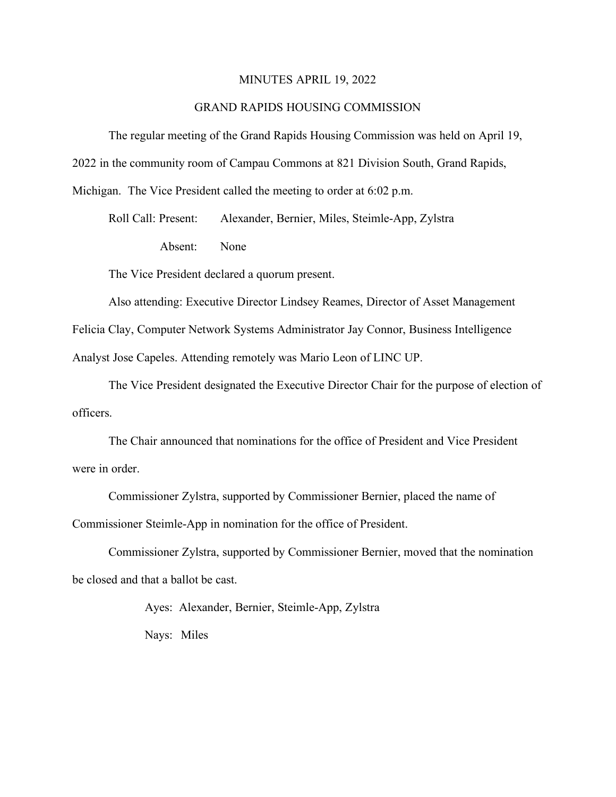#### MINUTES APRIL 19, 2022

### GRAND RAPIDS HOUSING COMMISSION

The regular meeting of the Grand Rapids Housing Commission was held on April 19,

2022 in the community room of Campau Commons at 821 Division South, Grand Rapids,

Michigan. The Vice President called the meeting to order at 6:02 p.m.

Roll Call: Present: Alexander, Bernier, Miles, Steimle-App, Zylstra Absent: None

The Vice President declared a quorum present.

Also attending: Executive Director Lindsey Reames, Director of Asset Management Felicia Clay, Computer Network Systems Administrator Jay Connor, Business Intelligence Analyst Jose Capeles. Attending remotely was Mario Leon of LINC UP.

The Vice President designated the Executive Director Chair for the purpose of election of officers.

The Chair announced that nominations for the office of President and Vice President were in order.

Commissioner Zylstra, supported by Commissioner Bernier, placed the name of Commissioner Steimle-App in nomination for the office of President.

Commissioner Zylstra, supported by Commissioner Bernier, moved that the nomination be closed and that a ballot be cast.

> Ayes: Alexander, Bernier, Steimle-App, Zylstra Nays: Miles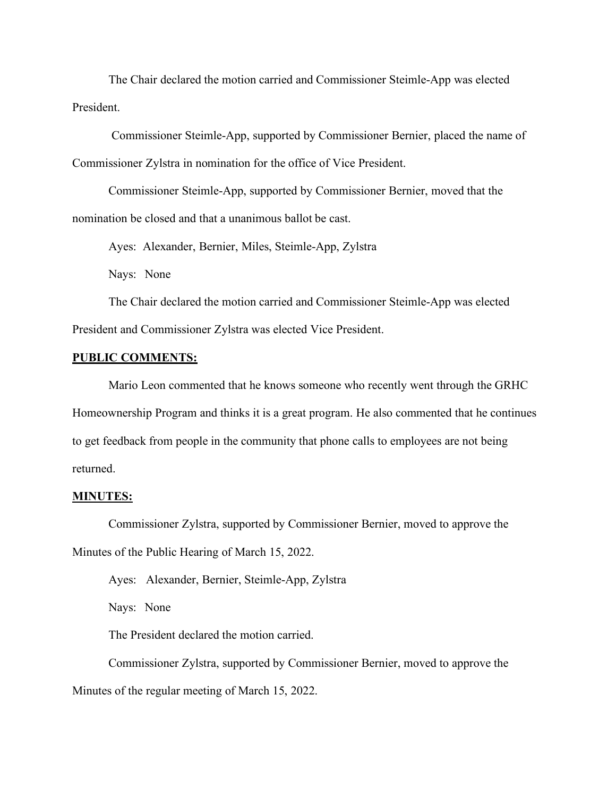The Chair declared the motion carried and Commissioner Steimle-App was elected President.

Commissioner Steimle-App, supported by Commissioner Bernier, placed the name of Commissioner Zylstra in nomination for the office of Vice President.

Commissioner Steimle-App, supported by Commissioner Bernier, moved that the nomination be closed and that a unanimous ballot be cast.

Ayes: Alexander, Bernier, Miles, Steimle-App, Zylstra

Nays: None

The Chair declared the motion carried and Commissioner Steimle-App was elected President and Commissioner Zylstra was elected Vice President.

#### **PUBLIC COMMENTS:**

Mario Leon commented that he knows someone who recently went through the GRHC Homeownership Program and thinks it is a great program. He also commented that he continues to get feedback from people in the community that phone calls to employees are not being returned.

#### **MINUTES:**

Commissioner Zylstra, supported by Commissioner Bernier, moved to approve the Minutes of the Public Hearing of March 15, 2022.

Ayes: Alexander, Bernier, Steimle-App, Zylstra

Nays: None

The President declared the motion carried.

Commissioner Zylstra, supported by Commissioner Bernier, moved to approve the Minutes of the regular meeting of March 15, 2022.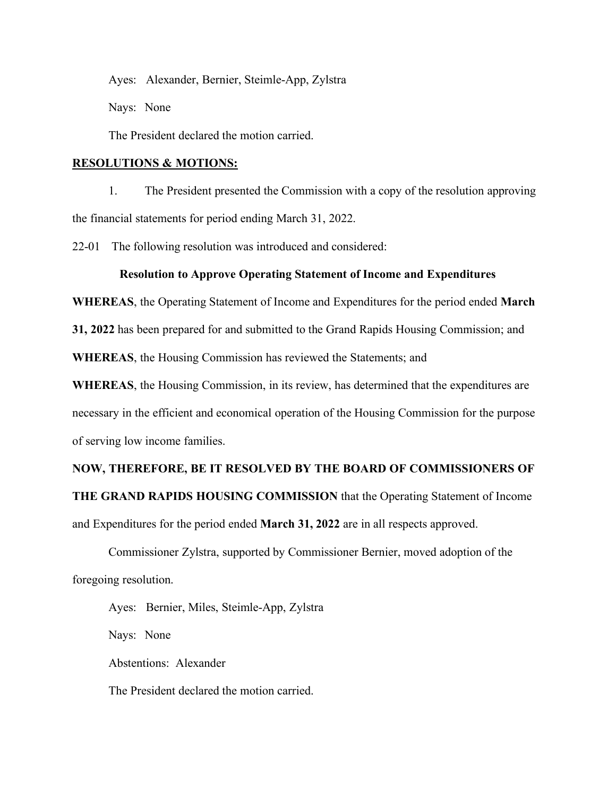Ayes: Alexander, Bernier, Steimle-App, Zylstra

Nays: None

The President declared the motion carried.

#### **RESOLUTIONS & MOTIONS:**

1. The President presented the Commission with a copy of the resolution approving the financial statements for period ending March 31, 2022.

22-01 The following resolution was introduced and considered:

### **Resolution to Approve Operating Statement of Income and Expenditures**

**WHEREAS**, the Operating Statement of Income and Expenditures for the period ended **March** 

**31, 2022** has been prepared for and submitted to the Grand Rapids Housing Commission; and

**WHEREAS**, the Housing Commission has reviewed the Statements; and

**WHEREAS**, the Housing Commission, in its review, has determined that the expenditures are necessary in the efficient and economical operation of the Housing Commission for the purpose of serving low income families.

## **NOW, THEREFORE, BE IT RESOLVED BY THE BOARD OF COMMISSIONERS OF**

**THE GRAND RAPIDS HOUSING COMMISSION** that the Operating Statement of Income and Expenditures for the period ended **March 31, 2022** are in all respects approved.

Commissioner Zylstra, supported by Commissioner Bernier, moved adoption of the foregoing resolution.

Ayes: Bernier, Miles, Steimle-App, Zylstra Nays: None Abstentions: Alexander The President declared the motion carried.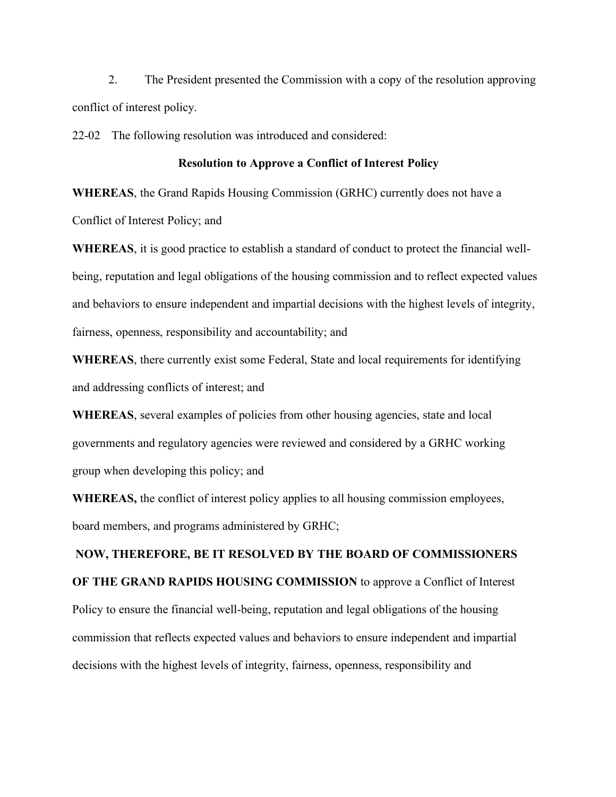2. The President presented the Commission with a copy of the resolution approving conflict of interest policy.

22-02 The following resolution was introduced and considered:

#### **Resolution to Approve a Conflict of Interest Policy**

**WHEREAS**, the Grand Rapids Housing Commission (GRHC) currently does not have a

Conflict of Interest Policy; and

**WHEREAS**, it is good practice to establish a standard of conduct to protect the financial wellbeing, reputation and legal obligations of the housing commission and to reflect expected values and behaviors to ensure independent and impartial decisions with the highest levels of integrity, fairness, openness, responsibility and accountability; and

**WHEREAS**, there currently exist some Federal, State and local requirements for identifying and addressing conflicts of interest; and

**WHEREAS**, several examples of policies from other housing agencies, state and local governments and regulatory agencies were reviewed and considered by a GRHC working group when developing this policy; and

**WHEREAS,** the conflict of interest policy applies to all housing commission employees, board members, and programs administered by GRHC;

# **NOW, THEREFORE, BE IT RESOLVED BY THE BOARD OF COMMISSIONERS OF THE GRAND RAPIDS HOUSING COMMISSION** to approve a Conflict of Interest Policy to ensure the financial well-being, reputation and legal obligations of the housing commission that reflects expected values and behaviors to ensure independent and impartial decisions with the highest levels of integrity, fairness, openness, responsibility and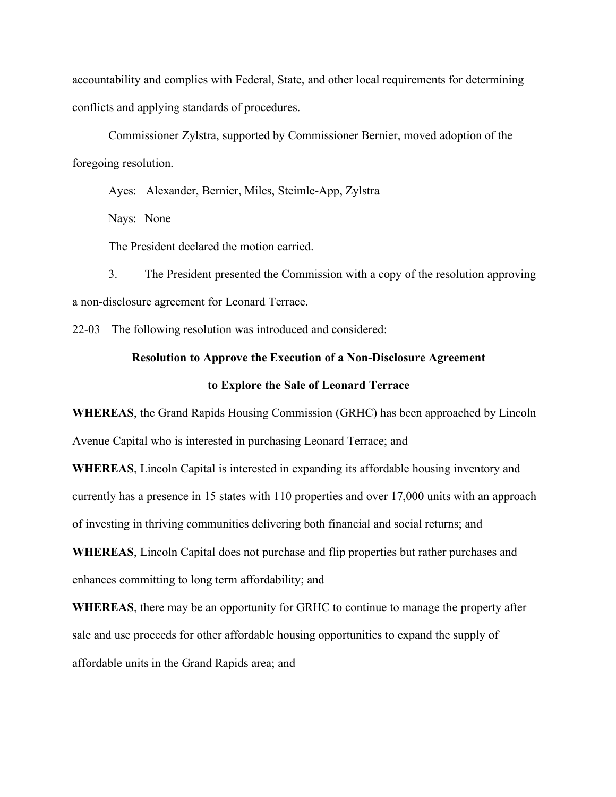accountability and complies with Federal, State, and other local requirements for determining conflicts and applying standards of procedures.

Commissioner Zylstra, supported by Commissioner Bernier, moved adoption of the foregoing resolution.

Ayes: Alexander, Bernier, Miles, Steimle-App, Zylstra

Nays: None

The President declared the motion carried.

3. The President presented the Commission with a copy of the resolution approving a non-disclosure agreement for Leonard Terrace.

22-03 The following resolution was introduced and considered:

#### **Resolution to Approve the Execution of a Non-Disclosure Agreement**

#### **to Explore the Sale of Leonard Terrace**

**WHEREAS**, the Grand Rapids Housing Commission (GRHC) has been approached by Lincoln Avenue Capital who is interested in purchasing Leonard Terrace; and

**WHEREAS**, Lincoln Capital is interested in expanding its affordable housing inventory and currently has a presence in 15 states with 110 properties and over 17,000 units with an approach of investing in thriving communities delivering both financial and social returns; and

**WHEREAS**, Lincoln Capital does not purchase and flip properties but rather purchases and enhances committing to long term affordability; and

**WHEREAS**, there may be an opportunity for GRHC to continue to manage the property after sale and use proceeds for other affordable housing opportunities to expand the supply of affordable units in the Grand Rapids area; and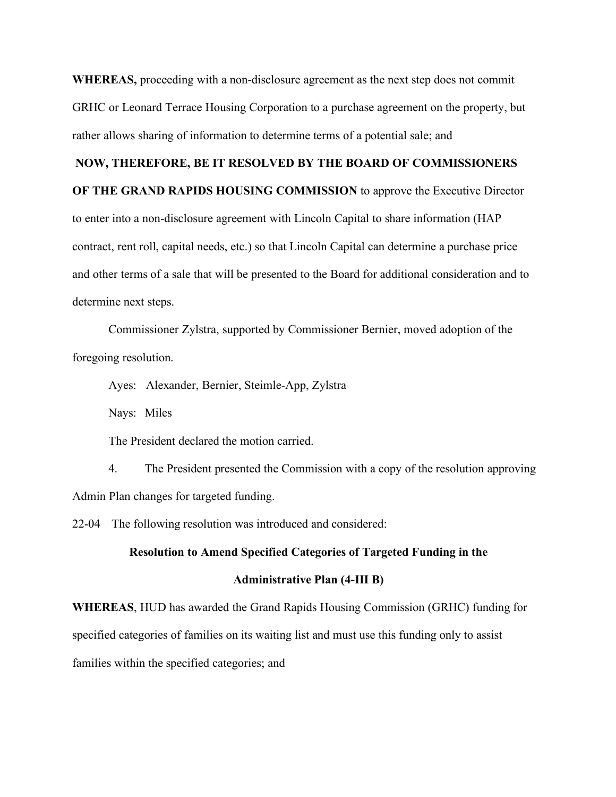**WHEREAS,** proceeding with a non-disclosure agreement as the next step does not commit GRHC or Leonard Terrace Housing Corporation to a purchase agreement on the property, but rather allows sharing of information to determine terms of a potential sale; and

### **NOW, THEREFORE, BE IT RESOLVED BY THE BOARD OF COMMISSIONERS**

**OF THE GRAND RAPIDS HOUSING COMMISSION** to approve the Executive Director

to enter into a non-disclosure agreement with Lincoln Capital to share information (HAP contract, rent roll, capital needs, etc.) so that Lincoln Capital can determine a purchase price and other terms of a sale that will be presented to the Board for additional consideration and to determine next steps.

Commissioner Zylstra, supported by Commissioner Bernier, moved adoption of the foregoing resolution.

Ayes: Alexander, Bernier, Steimle-App, Zylstra

Nays: Miles

The President declared the motion carried.

4. The President presented the Commission with a copy of the resolution approving Admin Plan changes for targeted funding.

22-04 The following resolution was introduced and considered:

#### **Resolution to Amend Specified Categories of Targeted Funding in the**

#### **Administrative Plan (4-III B)**

**WHEREAS**, HUD has awarded the Grand Rapids Housing Commission (GRHC) funding for specified categories of families on its waiting list and must use this funding only to assist families within the specified categories; and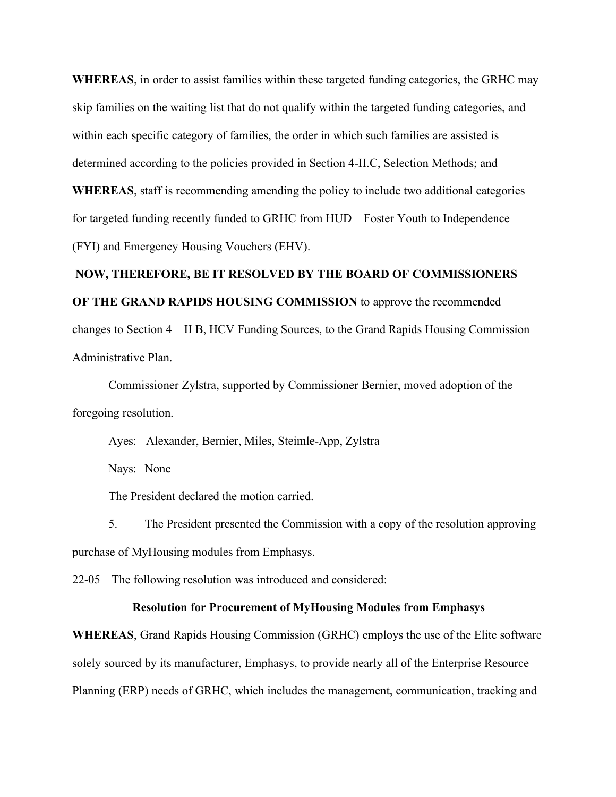**WHEREAS**, in order to assist families within these targeted funding categories, the GRHC may skip families on the waiting list that do not qualify within the targeted funding categories, and within each specific category of families, the order in which such families are assisted is determined according to the policies provided in Section 4-II.C, Selection Methods; and **WHEREAS**, staff is recommending amending the policy to include two additional categories

(FYI) and Emergency Housing Vouchers (EHV).

## **NOW, THEREFORE, BE IT RESOLVED BY THE BOARD OF COMMISSIONERS OF THE GRAND RAPIDS HOUSING COMMISSION** to approve the recommended changes to Section 4—II B, HCV Funding Sources, to the Grand Rapids Housing Commission Administrative Plan.

for targeted funding recently funded to GRHC from HUD—Foster Youth to Independence

Commissioner Zylstra, supported by Commissioner Bernier, moved adoption of the foregoing resolution.

Ayes: Alexander, Bernier, Miles, Steimle-App, Zylstra

Nays: None

The President declared the motion carried.

5. The President presented the Commission with a copy of the resolution approving purchase of MyHousing modules from Emphasys.

22-05 The following resolution was introduced and considered:

#### **Resolution for Procurement of MyHousing Modules from Emphasys**

**WHEREAS**, Grand Rapids Housing Commission (GRHC) employs the use of the Elite software solely sourced by its manufacturer, Emphasys, to provide nearly all of the Enterprise Resource Planning (ERP) needs of GRHC, which includes the management, communication, tracking and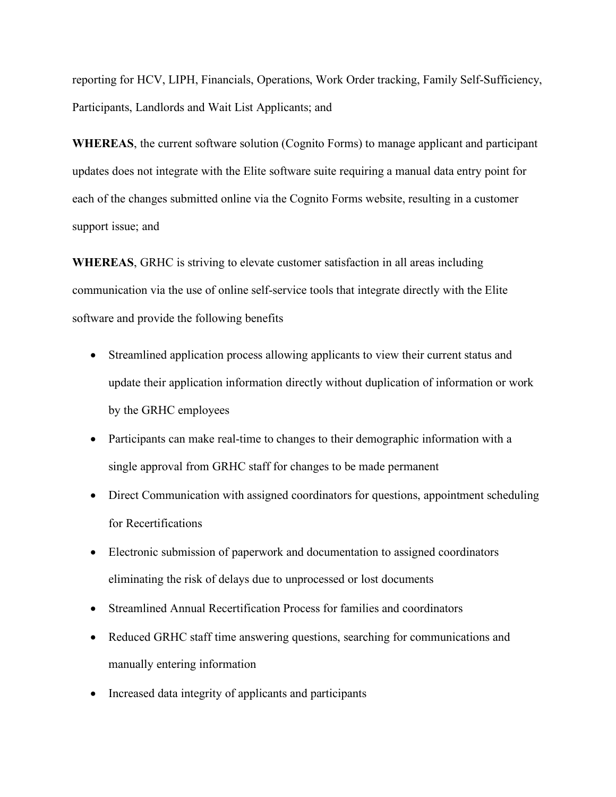reporting for HCV, LIPH, Financials, Operations, Work Order tracking, Family Self-Sufficiency, Participants, Landlords and Wait List Applicants; and

**WHEREAS**, the current software solution (Cognito Forms) to manage applicant and participant updates does not integrate with the Elite software suite requiring a manual data entry point for each of the changes submitted online via the Cognito Forms website, resulting in a customer support issue; and

**WHEREAS**, GRHC is striving to elevate customer satisfaction in all areas including communication via the use of online self-service tools that integrate directly with the Elite software and provide the following benefits

- Streamlined application process allowing applicants to view their current status and update their application information directly without duplication of information or work by the GRHC employees
- Participants can make real-time to changes to their demographic information with a single approval from GRHC staff for changes to be made permanent
- Direct Communication with assigned coordinators for questions, appointment scheduling for Recertifications
- Electronic submission of paperwork and documentation to assigned coordinators eliminating the risk of delays due to unprocessed or lost documents
- Streamlined Annual Recertification Process for families and coordinators
- Reduced GRHC staff time answering questions, searching for communications and manually entering information
- Increased data integrity of applicants and participants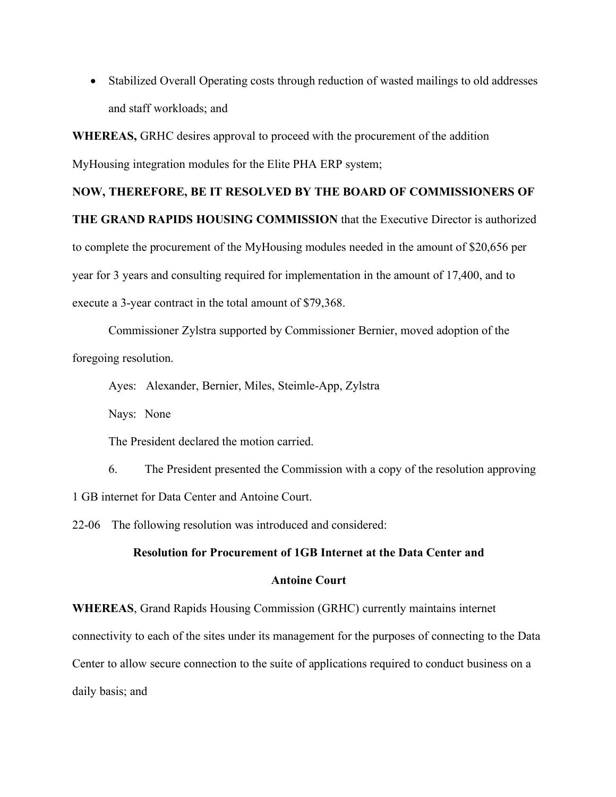• Stabilized Overall Operating costs through reduction of wasted mailings to old addresses and staff workloads; and

**WHEREAS,** GRHC desires approval to proceed with the procurement of the addition

MyHousing integration modules for the Elite PHA ERP system;

## **NOW, THEREFORE, BE IT RESOLVED BY THE BOARD OF COMMISSIONERS OF**

**THE GRAND RAPIDS HOUSING COMMISSION** that the Executive Director is authorized to complete the procurement of the MyHousing modules needed in the amount of \$20,656 per year for 3 years and consulting required for implementation in the amount of 17,400, and to execute a 3-year contract in the total amount of \$79,368.

Commissioner Zylstra supported by Commissioner Bernier, moved adoption of the foregoing resolution.

Ayes: Alexander, Bernier, Miles, Steimle-App, Zylstra

Nays: None

The President declared the motion carried.

6. The President presented the Commission with a copy of the resolution approving 1 GB internet for Data Center and Antoine Court.

22-06 The following resolution was introduced and considered:

#### **Resolution for Procurement of 1GB Internet at the Data Center and**

#### **Antoine Court**

**WHEREAS**, Grand Rapids Housing Commission (GRHC) currently maintains internet connectivity to each of the sites under its management for the purposes of connecting to the Data Center to allow secure connection to the suite of applications required to conduct business on a daily basis; and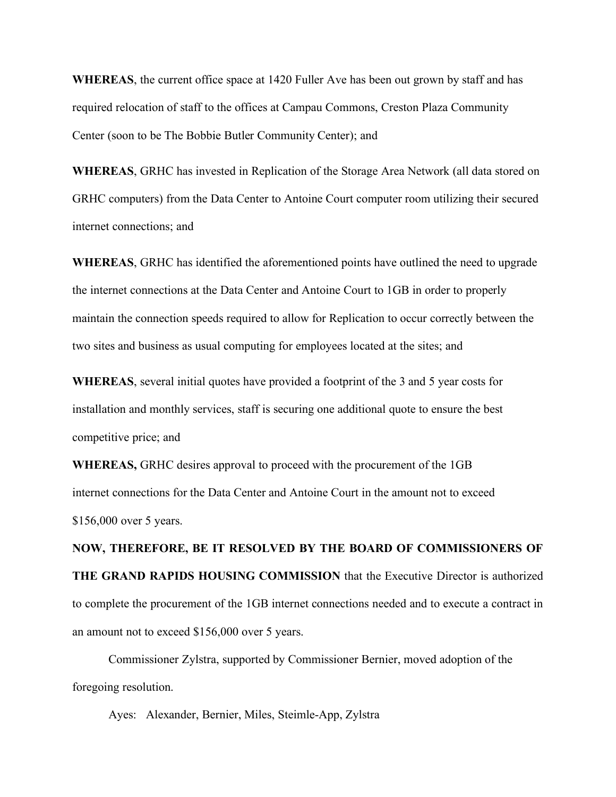**WHEREAS**, the current office space at 1420 Fuller Ave has been out grown by staff and has required relocation of staff to the offices at Campau Commons, Creston Plaza Community Center (soon to be The Bobbie Butler Community Center); and

**WHEREAS**, GRHC has invested in Replication of the Storage Area Network (all data stored on GRHC computers) from the Data Center to Antoine Court computer room utilizing their secured internet connections; and

**WHEREAS**, GRHC has identified the aforementioned points have outlined the need to upgrade the internet connections at the Data Center and Antoine Court to 1GB in order to properly maintain the connection speeds required to allow for Replication to occur correctly between the two sites and business as usual computing for employees located at the sites; and

**WHEREAS**, several initial quotes have provided a footprint of the 3 and 5 year costs for installation and monthly services, staff is securing one additional quote to ensure the best competitive price; and

**WHEREAS,** GRHC desires approval to proceed with the procurement of the 1GB internet connections for the Data Center and Antoine Court in the amount not to exceed \$156,000 over 5 years.

**NOW, THEREFORE, BE IT RESOLVED BY THE BOARD OF COMMISSIONERS OF THE GRAND RAPIDS HOUSING COMMISSION** that the Executive Director is authorized to complete the procurement of the 1GB internet connections needed and to execute a contract in an amount not to exceed \$156,000 over 5 years.

Commissioner Zylstra, supported by Commissioner Bernier, moved adoption of the foregoing resolution.

Ayes: Alexander, Bernier, Miles, Steimle-App, Zylstra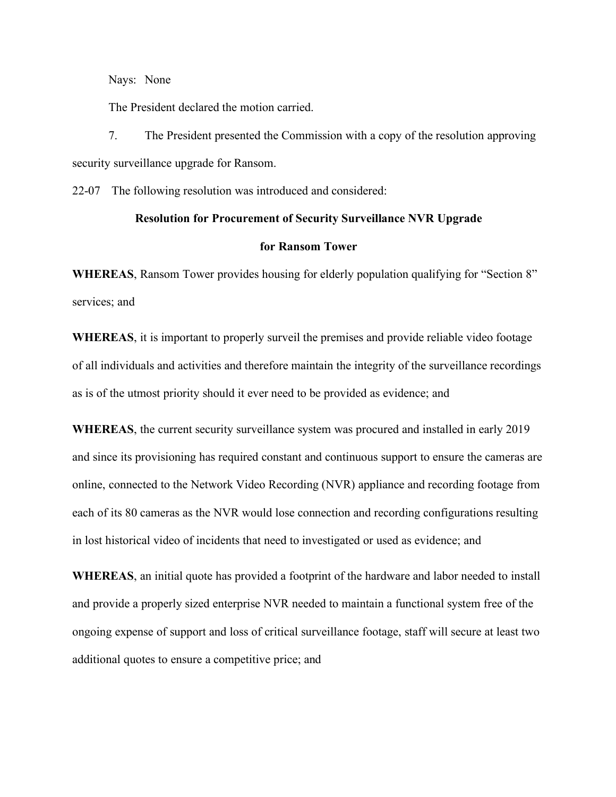Nays: None

The President declared the motion carried.

7. The President presented the Commission with a copy of the resolution approving security surveillance upgrade for Ransom.

22-07 The following resolution was introduced and considered:

#### **Resolution for Procurement of Security Surveillance NVR Upgrade**

#### **for Ransom Tower**

**WHEREAS**, Ransom Tower provides housing for elderly population qualifying for "Section 8" services; and

**WHEREAS**, it is important to properly surveil the premises and provide reliable video footage of all individuals and activities and therefore maintain the integrity of the surveillance recordings as is of the utmost priority should it ever need to be provided as evidence; and

**WHEREAS**, the current security surveillance system was procured and installed in early 2019 and since its provisioning has required constant and continuous support to ensure the cameras are online, connected to the Network Video Recording (NVR) appliance and recording footage from each of its 80 cameras as the NVR would lose connection and recording configurations resulting in lost historical video of incidents that need to investigated or used as evidence; and

**WHEREAS**, an initial quote has provided a footprint of the hardware and labor needed to install and provide a properly sized enterprise NVR needed to maintain a functional system free of the ongoing expense of support and loss of critical surveillance footage, staff will secure at least two additional quotes to ensure a competitive price; and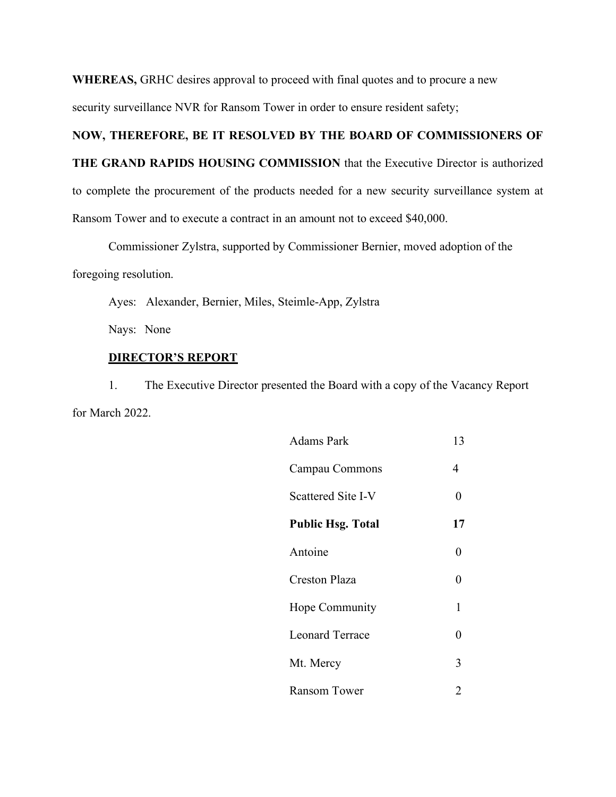**WHEREAS,** GRHC desires approval to proceed with final quotes and to procure a new

security surveillance NVR for Ransom Tower in order to ensure resident safety;

## **NOW, THEREFORE, BE IT RESOLVED BY THE BOARD OF COMMISSIONERS OF**

**THE GRAND RAPIDS HOUSING COMMISSION** that the Executive Director is authorized to complete the procurement of the products needed for a new security surveillance system at Ransom Tower and to execute a contract in an amount not to exceed \$40,000.

Commissioner Zylstra, supported by Commissioner Bernier, moved adoption of the

foregoing resolution.

Ayes: Alexander, Bernier, Miles, Steimle-App, Zylstra

Nays: None

## **DIRECTOR'S REPORT**

1. The Executive Director presented the Board with a copy of the Vacancy Report for March 2022.

| <b>Adams Park</b>        | 13             |
|--------------------------|----------------|
| Campau Commons           | 4              |
| Scattered Site I-V       | 0              |
| <b>Public Hsg. Total</b> | 17             |
| Antoine                  | 0              |
| <b>Creston Plaza</b>     | 0              |
| Hope Community           | 1              |
| <b>Leonard Terrace</b>   | 0              |
| Mt. Mercy                | 3              |
| Ransom Tower             | $\overline{2}$ |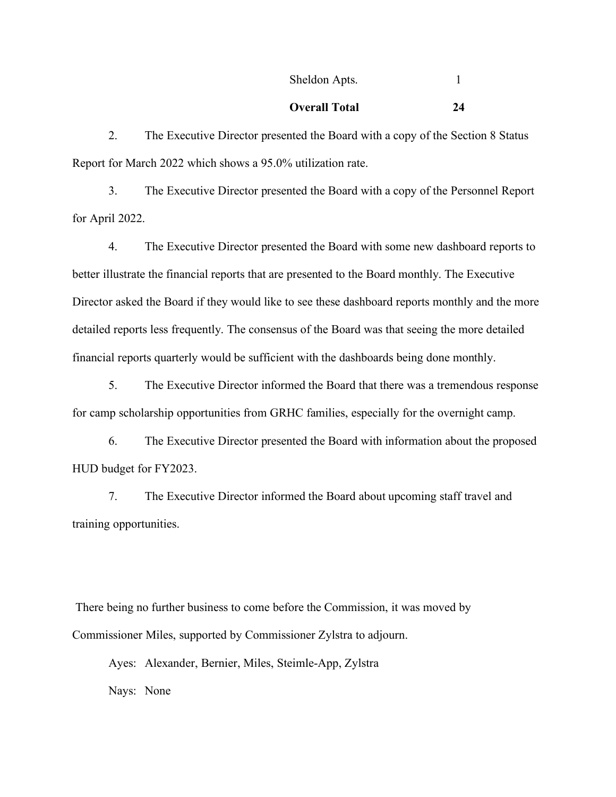## Sheldon Apts. 1

## **Overall Total 24**

2. The Executive Director presented the Board with a copy of the Section 8 Status Report for March 2022 which shows a 95.0% utilization rate.

3. The Executive Director presented the Board with a copy of the Personnel Report for April 2022.

4. The Executive Director presented the Board with some new dashboard reports to better illustrate the financial reports that are presented to the Board monthly. The Executive Director asked the Board if they would like to see these dashboard reports monthly and the more detailed reports less frequently. The consensus of the Board was that seeing the more detailed financial reports quarterly would be sufficient with the dashboards being done monthly.

5. The Executive Director informed the Board that there was a tremendous response for camp scholarship opportunities from GRHC families, especially for the overnight camp.

6. The Executive Director presented the Board with information about the proposed HUD budget for FY2023.

7. The Executive Director informed the Board about upcoming staff travel and training opportunities.

There being no further business to come before the Commission, it was moved by Commissioner Miles, supported by Commissioner Zylstra to adjourn.

Ayes: Alexander, Bernier, Miles, Steimle-App, Zylstra Nays: None